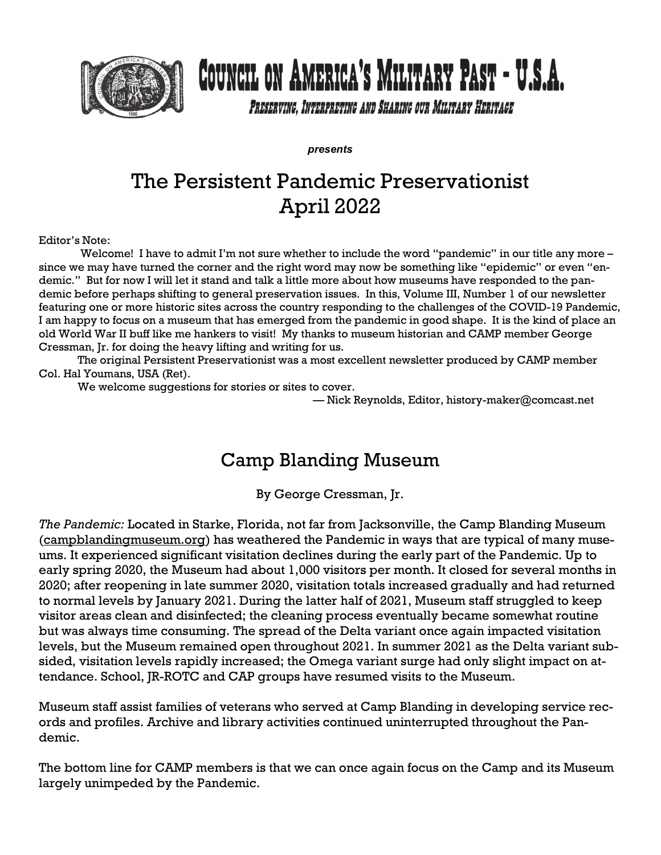

## COUNCIL ON AMERICA'S MILITARY PAST - U.S.A.

PRESERVING, INTERPRETING AND SHARING OUR MILITARY HERITAGE

**presents** 

## The Persistent Pandemic Preservationist April 2022

Editor's Note:

Welcome! I have to admit I'm not sure whether to include the word "pandemic" in our title any more – since we may have turned the corner and the right word may now be something like "epidemic" or even "endemic." But for now I will let it stand and talk a little more about how museums have responded to the pandemic before perhaps shifting to general preservation issues. In this, Volume III, Number 1 of our newsletter featuring one or more historic sites across the country responding to the challenges of the COVID-19 Pandemic, I am happy to focus on a museum that has emerged from the pandemic in good shape. It is the kind of place an old World War II buff like me hankers to visit! My thanks to museum historian and CAMP member George Cressman, Jr. for doing the heavy lifting and writing for us.

The original Persistent Preservationist was a most excellent newsletter produced by CAMP member Col. Hal Youmans, USA (Ret).

We welcome suggestions for stories or sites to cover.

— Nick Reynolds, Editor, history-maker@comcast.net

## Camp Blanding Museum

By George Cressman, Jr.

The Pandemic: Located in Starke, Florida, not far from Jacksonville, the Camp Blanding Museum (campblandingmuseum.org) has weathered the Pandemic in ways that are typical of many museums. It experienced significant visitation declines during the early part of the Pandemic. Up to early spring 2020, the Museum had about 1,000 visitors per month. It closed for several months in 2020; after reopening in late summer 2020, visitation totals increased gradually and had returned to normal levels by January 2021. During the latter half of 2021, Museum staff struggled to keep visitor areas clean and disinfected; the cleaning process eventually became somewhat routine but was always time consuming. The spread of the Delta variant once again impacted visitation levels, but the Museum remained open throughout 2021. In summer 2021 as the Delta variant subsided, visitation levels rapidly increased; the Omega variant surge had only slight impact on attendance. School, JR-ROTC and CAP groups have resumed visits to the Museum.

Museum staff assist families of veterans who served at Camp Blanding in developing service records and profiles. Archive and library activities continued uninterrupted throughout the Pandemic.

The bottom line for CAMP members is that we can once again focus on the Camp and its Museum largely unimpeded by the Pandemic.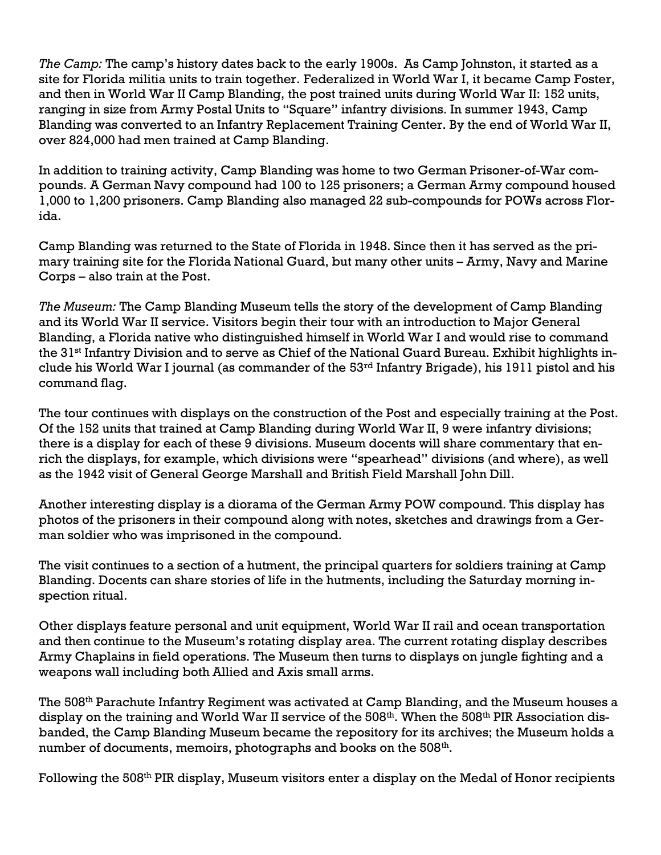The Camp: The camp's history dates back to the early 1900s. As Camp Johnston, it started as a site for Florida militia units to train together. Federalized in World War I, it became Camp Foster, and then in World War II Camp Blanding, the post trained units during World War II: 152 units, ranging in size from Army Postal Units to "Square" infantry divisions. In summer 1943, Camp Blanding was converted to an Infantry Replacement Training Center. By the end of World War II, over 824,000 had men trained at Camp Blanding.

In addition to training activity, Camp Blanding was home to two German Prisoner-of-War compounds. A German Navy compound had 100 to 125 prisoners; a German Army compound housed 1,000 to 1,200 prisoners. Camp Blanding also managed 22 sub-compounds for POWs across Florida.

Camp Blanding was returned to the State of Florida in 1948. Since then it has served as the primary training site for the Florida National Guard, but many other units – Army, Navy and Marine Corps – also train at the Post.

The Museum: The Camp Blanding Museum tells the story of the development of Camp Blanding and its World War II service. Visitors begin their tour with an introduction to Major General Blanding, a Florida native who distinguished himself in World War I and would rise to command the 31st Infantry Division and to serve as Chief of the National Guard Bureau. Exhibit highlights include his World War I journal (as commander of the 53rd Infantry Brigade), his 1911 pistol and his command flag.

The tour continues with displays on the construction of the Post and especially training at the Post. Of the 152 units that trained at Camp Blanding during World War II, 9 were infantry divisions; there is a display for each of these 9 divisions. Museum docents will share commentary that enrich the displays, for example, which divisions were "spearhead" divisions (and where), as well as the 1942 visit of General George Marshall and British Field Marshall John Dill.

Another interesting display is a diorama of the German Army POW compound. This display has photos of the prisoners in their compound along with notes, sketches and drawings from a German soldier who was imprisoned in the compound.

The visit continues to a section of a hutment, the principal quarters for soldiers training at Camp Blanding. Docents can share stories of life in the hutments, including the Saturday morning inspection ritual.

Other displays feature personal and unit equipment, World War II rail and ocean transportation and then continue to the Museum's rotating display area. The current rotating display describes Army Chaplains in field operations. The Museum then turns to displays on jungle fighting and a weapons wall including both Allied and Axis small arms.

The 508<sup>th</sup> Parachute Infantry Regiment was activated at Camp Blanding, and the Museum houses a display on the training and World War II service of the 508<sup>th</sup>. When the 508<sup>th</sup> PIR Association disbanded, the Camp Blanding Museum became the repository for its archives; the Museum holds a number of documents, memoirs, photographs and books on the  $508^{\rm th}$ .

Following the 508th PIR display, Museum visitors enter a display on the Medal of Honor recipients